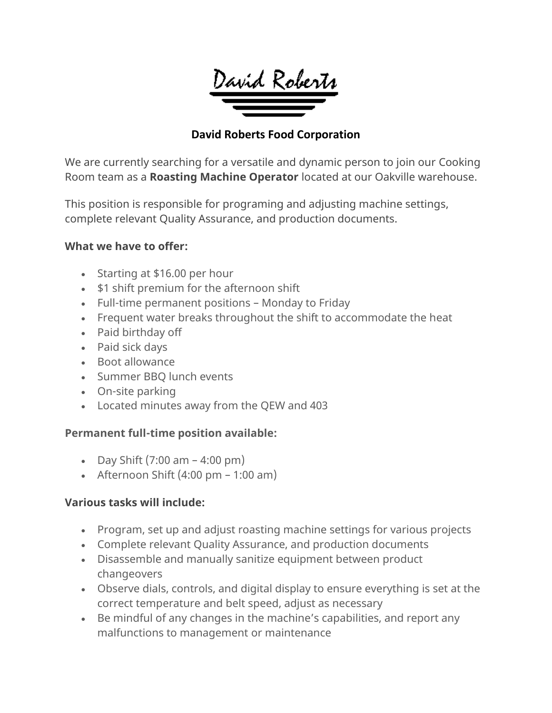

## **David Roberts Food Corporation**

We are currently searching for a versatile and dynamic person to join our Cooking Room team as a **Roasting Machine Operator** located at our Oakville warehouse.

This position is responsible for programing and adjusting machine settings, complete relevant Quality Assurance, and production documents.

#### **What we have to offer:**

- Starting at \$16.00 per hour
- \$1 shift premium for the afternoon shift
- Full-time permanent positions Monday to Friday
- Frequent water breaks throughout the shift to accommodate the heat
- Paid birthday off
- Paid sick days
- Boot allowance
- Summer BBQ lunch events
- On-site parking
- Located minutes away from the QEW and 403

### **Permanent full-time position available:**

- Day Shift  $(7:00 \text{ am} 4:00 \text{ pm})$
- Afternoon Shift  $(4:00 \text{ pm} 1:00 \text{ am})$

### **Various tasks will include:**

- Program, set up and adjust roasting machine settings for various projects
- Complete relevant Quality Assurance, and production documents
- Disassemble and manually sanitize equipment between product changeovers
- Observe dials, controls, and digital display to ensure everything is set at the correct temperature and belt speed, adjust as necessary
- Be mindful of any changes in the machine's capabilities, and report any malfunctions to management or maintenance